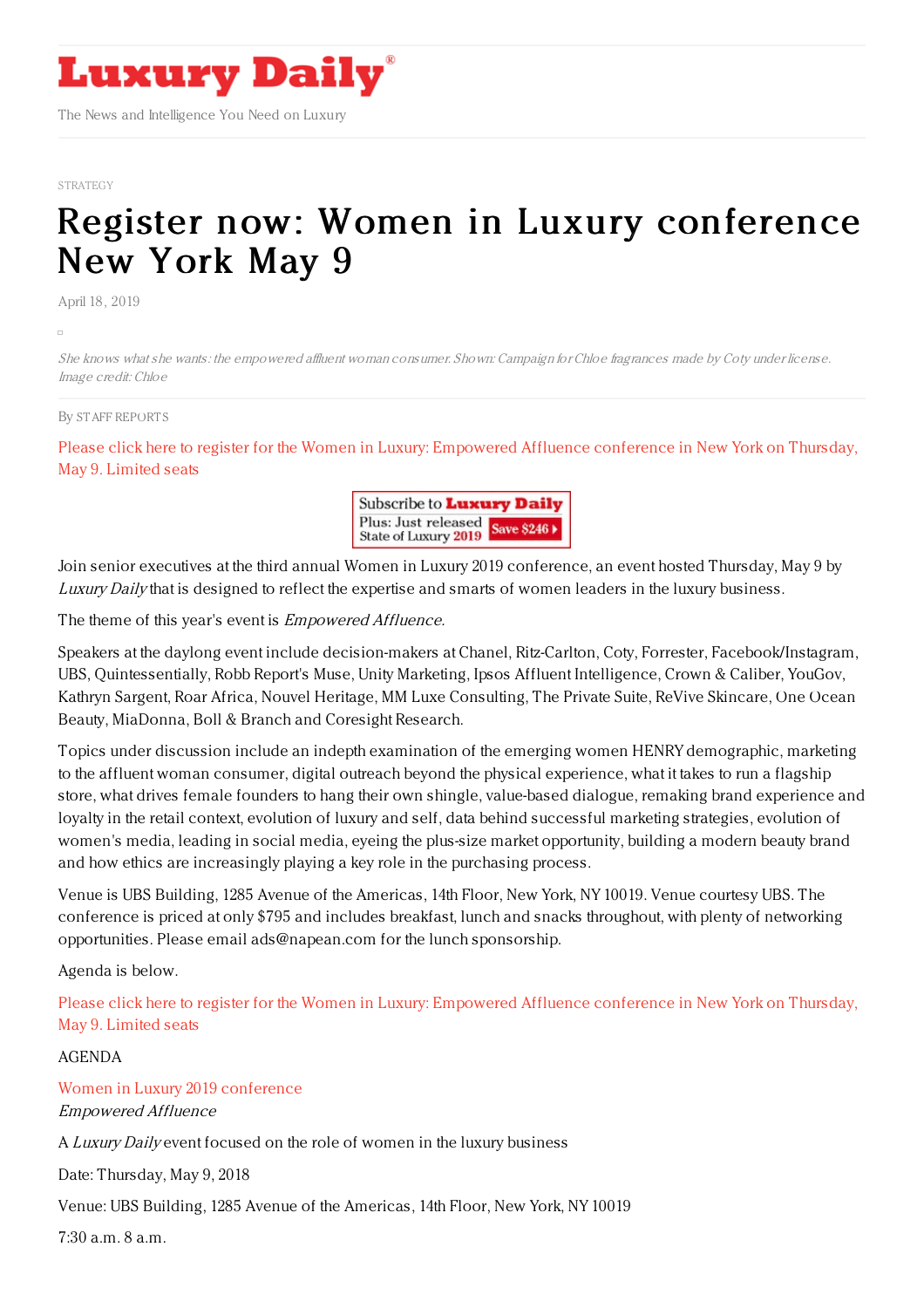

The News and Intelligence You Need on Luxury

#### [STRATEGY](https://www.luxurydaily.com/category/opinion/strategy-opinion/)

# Register now: Women in Luxury [conference](https://www.luxurydaily.com/register-now-women-in-luxury-conference-new-york-may-9-69/) New York May 9

April 18, 2019

She knows what she wants: the empowered affluent woman consumer. Shown: Campaign for Chloe fragrances made by Coty under license. Image credit: Chloe

#### By STAFF [REPORT](file:///author/staff-reports) S

Please click here to register for the Women in Luxury: [Empowered](https://www.luxurydaily.com/conference-page/) Affluence conference in New York on Thursday, May 9. Limited seats



Join senior executives at the third annual Women in Luxury 2019 conference, an event hosted Thursday, May 9 by Luxury Daily that is designed to reflect the expertise and smarts of women leaders in the luxury business.

The theme of this year's event is *Empowered Affluence*.

Speakers at the daylong event include decision-makers at Chanel, Ritz-Carlton, Coty, Forrester, Facebook/Instagram, UBS, Quintessentially, Robb Report's Muse, Unity Marketing, Ipsos Affluent Intelligence, Crown & Caliber, YouGov, Kathryn Sargent, Roar Africa, Nouvel Heritage, MM Luxe Consulting, The Private Suite, ReVive Skincare, One Ocean Beauty, MiaDonna, Boll & Branch and Coresight Research.

Topics under discussion include an indepth examination of the emerging women HENRY demographic, marketing to the affluent woman consumer, digital outreach beyond the physical experience, what it takes to run a flagship store, what drives female founders to hang their own shingle, value-based dialogue, remaking brand experience and loyalty in the retail context, evolution of luxury and self, data behind successful marketing strategies, evolution of women's media, leading in social media, eyeing the plus-size market opportunity, building a modern beauty brand and how ethics are increasingly playing a key role in the purchasing process.

Venue is UBS Building, 1285 Avenue of the Americas, 14th Floor, New York, NY 10019. Venue courtesy UBS. The conference is priced at only \$795 and includes breakfast, lunch and snacks throughout, with plenty of networking opportunities. Please email ads@napean.com for the lunch sponsorship.

Agenda is below.

Please click here to register for the Women in Luxury: [Empowered](https://www.luxurydaily.com/conference-page/) Affluence conference in New York on Thursday, May 9. Limited seats

AGENDA

Women in Luxury 2019 [conference](https://www.luxurydaily.com/conference-page/)

Empowered Affluence

A Luxury Daily event focused on the role of women in the luxury business

Date: Thursday, May 9, 2018

Venue: UBS Building, 1285 Avenue of the Americas, 14th Floor, New York, NY 10019

7:30 a.m. 8 a.m.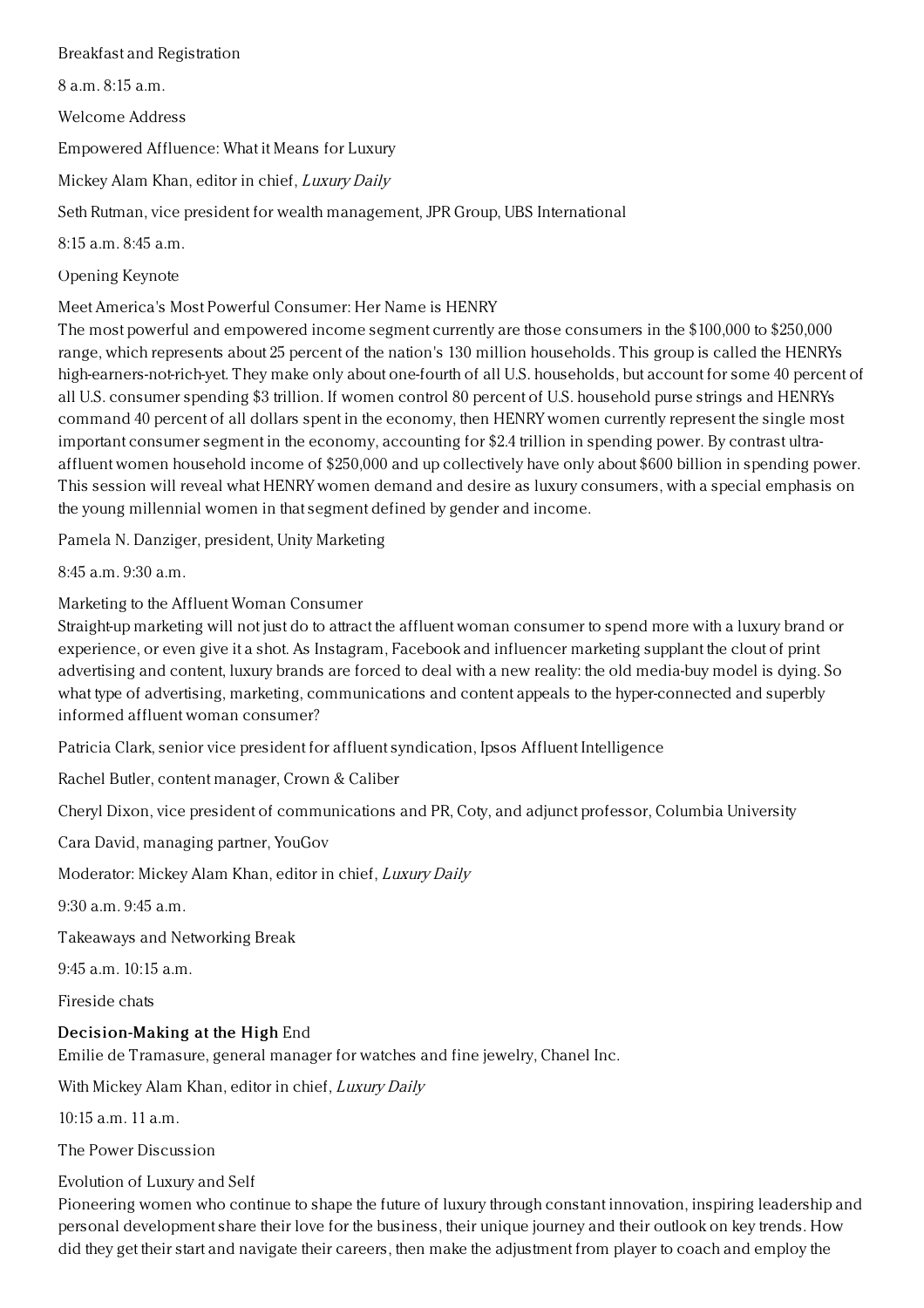### Breakfast and Registration

8 a.m. 8:15 a.m.

Welcome Address

Empowered Affluence: What it Means for Luxury

Mickey Alam Khan, editor in chief, Luxury Daily

Seth Rutman, vice president for wealth management, JPR Group, UBS International

8:15 a.m. 8:45 a.m.

Opening Keynote

Meet America's Most Powerful Consumer: Her Name is HENRY

The most powerful and empowered income segment currently are those consumers in the \$100,000 to \$250,000 range, which represents about 25 percent of the nation's 130 million households. This group is called the HENRYs high-earners-not-rich-yet. They make only about one-fourth of all U.S. households, but account for some 40 percent of all U.S. consumer spending \$3 trillion. If women control 80 percent of U.S. household purse strings and HENRYs command 40 percent of all dollars spent in the economy, then HENRY women currently represent the single most important consumer segment in the economy, accounting for \$2.4 trillion in spending power. By contrast ultraaffluent women household income of \$250,000 and up collectively have only about \$600 billion in spending power. This session will reveal what HENRY women demand and desire as luxury consumers, with a special emphasis on the young millennial women in that segment defined by gender and income.

Pamela N. Danziger, president, Unity Marketing

8:45 a.m. 9:30 a.m.

Marketing to the Affluent Woman Consumer

Straight-up marketing will not just do to attract the affluent woman consumer to spend more with a luxury brand or experience, or even give it a shot. As Instagram, Facebook and influencer marketing supplant the clout of print advertising and content, luxury brands are forced to deal with a new reality: the old media-buy model is dying. So what type of advertising, marketing, communications and content appeals to the hyper-connected and superbly informed affluent woman consumer?

Patricia Clark, senior vice president for affluent syndication, Ipsos Affluent Intelligence

Rachel Butler, content manager, Crown & Caliber

Cheryl Dixon, vice president of communications and PR, Coty, and adjunct professor, Columbia University

Cara David, managing partner, YouGov

Moderator: Mickey Alam Khan, editor in chief, Luxury Daily

9:30 a.m. 9:45 a.m.

Takeaways and Networking Break

 $9:45$  a.m.  $10:15$  a.m.

Fireside chats

## Decision-Making at the High End

Emilie de Tramasure, general manager for watches and fine jewelry, Chanel Inc.

With Mickey Alam Khan, editor in chief, Luxury Daily

 $10:15$  a.m. 11 a.m.

The Power Discussion

Evolution of Luxury and Self

Pioneering women who continue to shape the future of luxury through constant innovation, inspiring leadership and personal development share their love for the business, their unique journey and their outlook on key trends. How did they get their start and navigate their careers, then make the adjustment from player to coach and employ the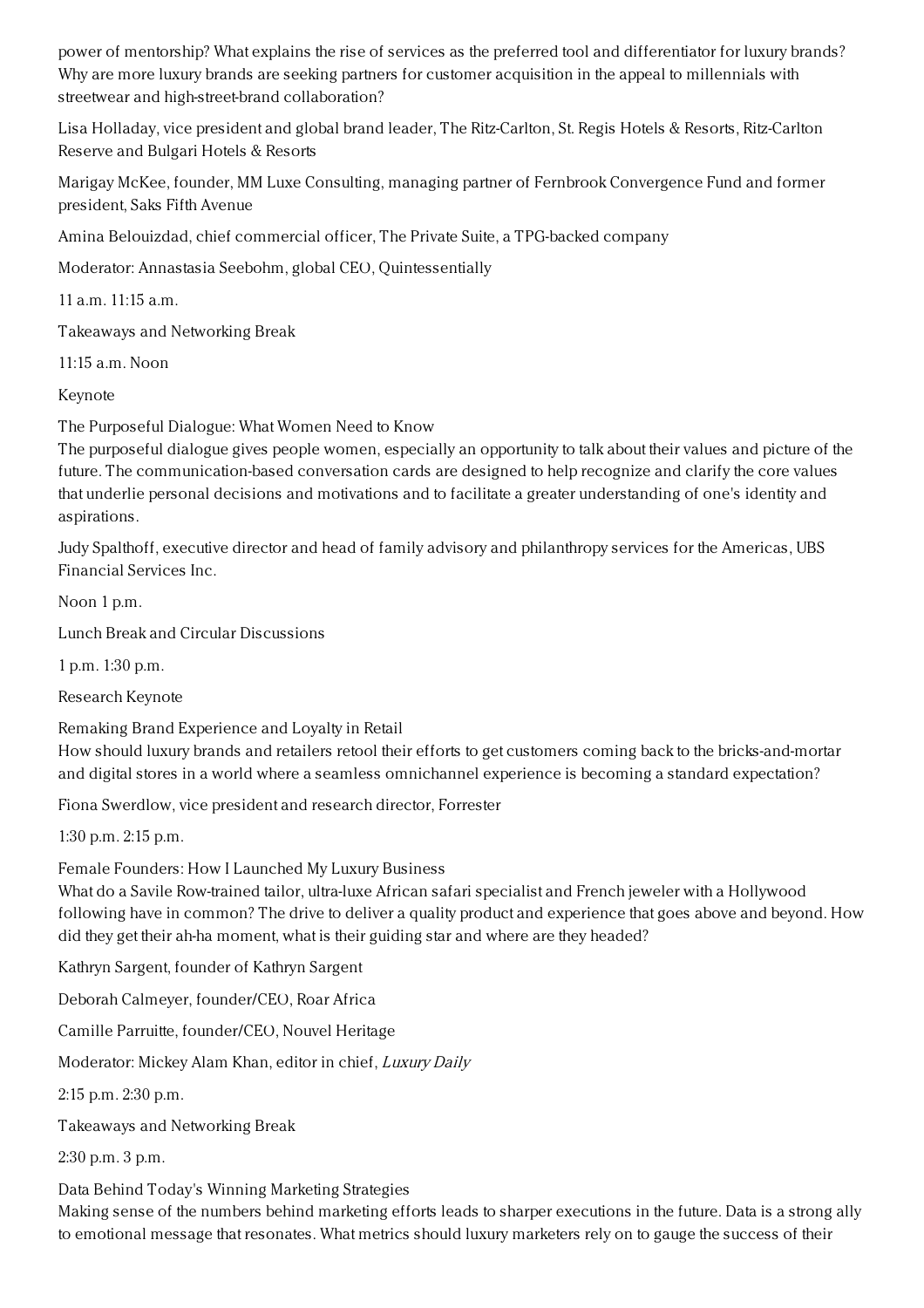power of mentorship? What explains the rise of services as the preferred tool and differentiator for luxury brands? Why are more luxury brands are seeking partners for customer acquisition in the appeal to millennials with streetwear and high-street-brand collaboration?

Lisa Holladay, vice president and global brand leader, The Ritz-Carlton, St. Regis Hotels & Resorts, Ritz-Carlton Reserve and Bulgari Hotels & Resorts

Marigay McKee, founder, MM Luxe Consulting, managing partner of Fernbrook Convergence Fund and former president, Saks Fifth Avenue

Amina Belouizdad, chief commercial officer, The Private Suite, a TPG-backed company

Moderator: Annastasia Seebohm, global CEO, Quintessentially

11 a.m. 11:15 a.m.

Takeaways and Networking Break

11:15 a.m. Noon

Keynote

The Purposeful Dialogue: What Women Need to Know

The purposeful dialogue gives people women, especially an opportunity to talk about their values and picture of the future. The communication-based conversation cards are designed to help recognize and clarify the core values that underlie personal decisions and motivations and to facilitate a greater understanding of one's identity and aspirations.

Judy Spalthoff, executive director and head of family advisory and philanthropy services for the Americas, UBS Financial Services Inc.

Noon 1 p.m.

Lunch Break and Circular Discussions

1 p.m. 1:30 p.m.

Research Keynote

Remaking Brand Experience and Loyalty in Retail

How should luxury brands and retailers retool their efforts to get customers coming back to the bricks-and-mortar and digital stores in a world where a seamless omnichannel experience is becoming a standard expectation?

Fiona Swerdlow, vice president and research director, Forrester

1:30 p.m. 2:15 p.m.

Female Founders: How I Launched My Luxury Business

What do a Savile Row-trained tailor, ultra-luxe African safari specialist and French jeweler with a Hollywood following have in common? The drive to deliver a quality product and experience that goes above and beyond. How did they get their ah-ha moment, what is their guiding star and where are they headed?

Kathryn Sargent, founder of Kathryn Sargent

Deborah Calmeyer, founder/CEO, Roar Africa

Camille Parruitte, founder/CEO, Nouvel Heritage

Moderator: Mickey Alam Khan, editor in chief, Luxury Daily

2:15 p.m. 2:30 p.m.

Takeaways and Networking Break

2:30 p.m. 3 p.m.

Data Behind Today's Winning Marketing Strategies

Making sense of the numbers behind marketing efforts leads to sharper executions in the future. Data is a strong ally to emotional message that resonates. What metrics should luxury marketers rely on to gauge the success of their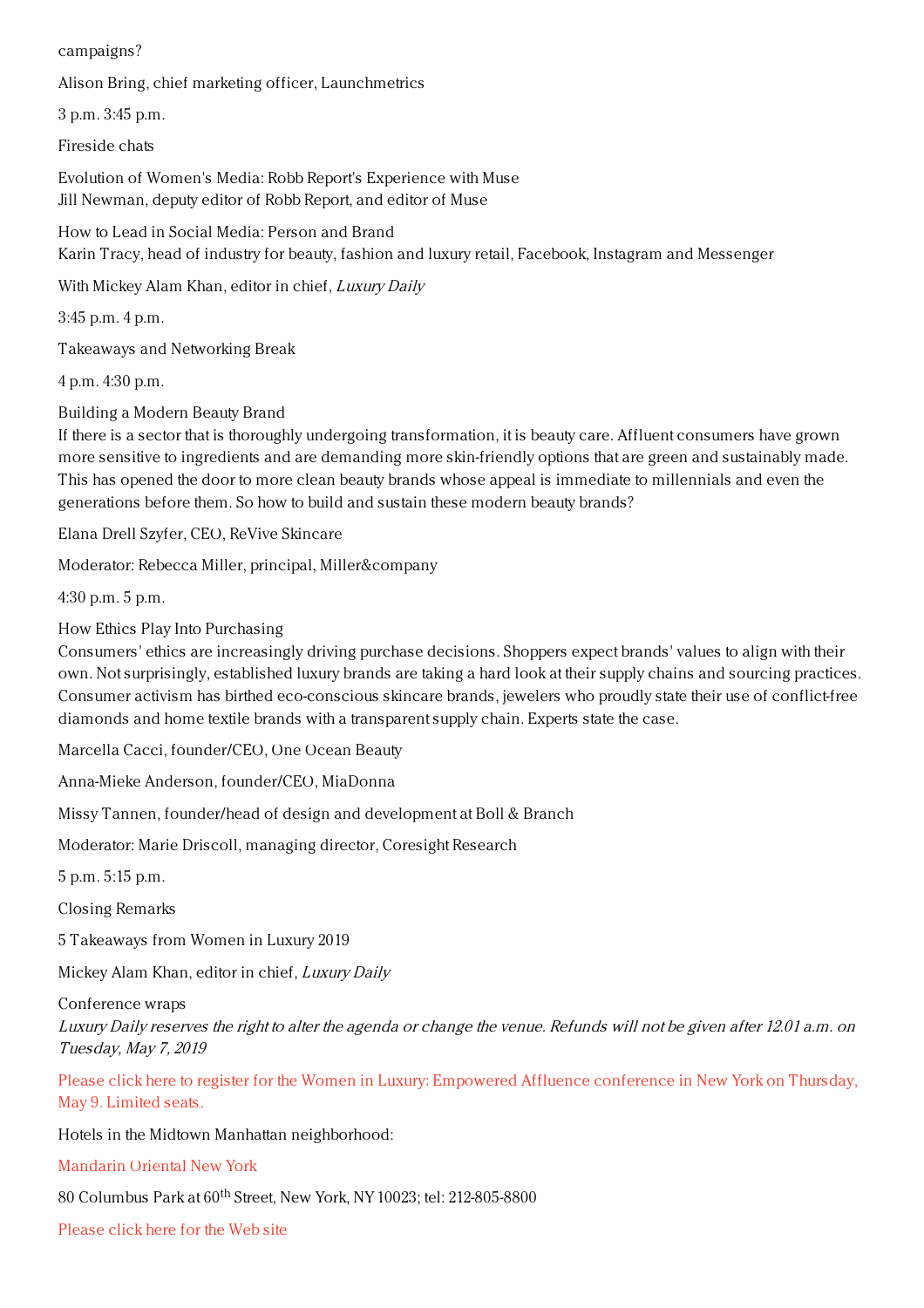campaigns?

Alison Bring, chief marketing officer, Launchmetrics

3 p.m. 3:45 p.m.

Fireside chats

Evolution of Women's Media: Robb Report's Experience with Muse Jill Newman, deputy editor of Robb Report, and editor of Muse

How to Lead in Social Media: Person and Brand Karin Tracy, head of industry for beauty, fashion and luxury retail, Facebook, Instagram and Messenger

With Mickey Alam Khan, editor in chief, Luxury Daily

3:45 p.m. 4 p.m.

Takeaways and Networking Break

4 p.m. 4:30 p.m.

Building a Modern Beauty Brand

If there is a sector that is thoroughly undergoing transformation, it is beauty care. Affluent consumers have grown more sensitive to ingredients and are demanding more skin-friendly options that are green and sustainably made. This has opened the door to more clean beauty brands whose appeal is immediate to millennials and even the generations before them. So how to build and sustain these modern beauty brands?

Elana Drell Szyfer, CEO, ReVive Skincare

Moderator: Rebecca Miller, principal, Miller&company

4:30 p.m. 5 p.m.

How Ethics Play Into Purchasing

Consumers' ethics are increasingly driving purchase decisions. Shoppers expect brands' values to align with their own. Not surprisingly, established luxury brands are taking a hard look at their supply chains and sourcing practices. Consumer activism has birthed eco-conscious skincare brands, jewelers who proudly state their use of conflict-free diamonds and home textile brands with a transparent supply chain. Experts state the case.

Marcella Cacci, founder/CEO, One Ocean Beauty

Anna-Mieke Anderson, founder/CEO, MiaDonna

Missy Tannen, founder/head of design and development at Boll & Branch

Moderator: Marie Driscoll, managing director, Coresight Research

5 p.m. 5:15 p.m.

Closing Remarks

5 Takeaways from Women in Luxury 2019

Mickey Alam Khan, editor in chief, Luxury Daily

Conference wraps

Luxury Daily reserves the right to alter the agenda or change the venue. Refunds will not be given after 12.01 a.m. on Tuesday, May 7, 2019

Please click here to register for the Women in Luxury: [Empowered](https://www.luxurydaily.com/conference-page/) Affluence conference in New York on Thursday, May 9. Limited seats.

Hotels in the Midtown Manhattan neighborhood:

[Mandarin](http://www.mandarinoriental.com/newyork/?htl=MONYC&eng=google&src=local) Oriental New York

 $80$  Columbus Park at  $60^{\rm th}$  Street, New York, NY 10023; tel: 212-805-8800

[Please](http://www.mandarinoriental.com/newyork/?htl=MONYC&eng=google&src=local) click here for the Web site